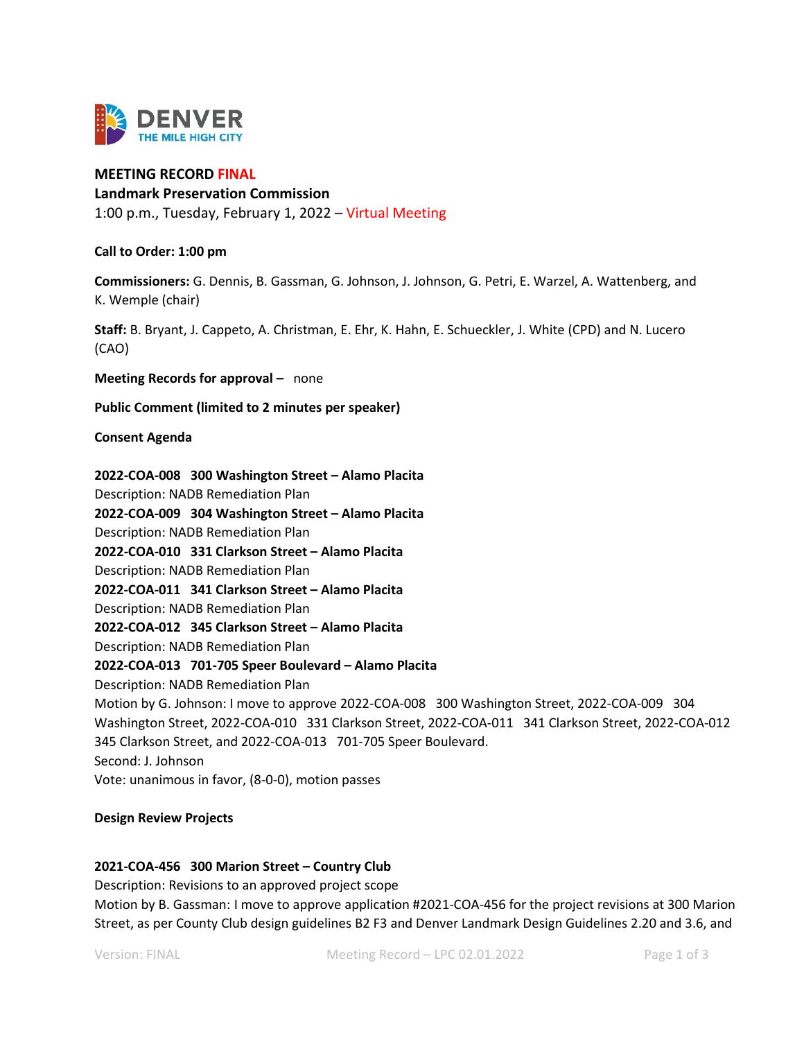

# **MEETING RECORD FINAL**

### **Landmark Preservation Commission**

1:00 p.m., Tuesday, February 1, 2022 – Virtual Meeting

### **Call to Order: 1:00 pm**

**Commissioners:** G. Dennis, B. Gassman, G. Johnson, J. Johnson, G. Petri, E. Warzel, A. Wattenberg, and K. Wemple (chair)

**Staff:** B. Bryant, J. Cappeto, A. Christman, E. Ehr, K. Hahn, E. Schueckler, J. White (CPD) and N. Lucero (CAO)

**Meeting Records for approval –** none

**Public Comment (limited to 2 minutes per speaker)**

#### **Consent Agenda**

**2022-COA-008 300 Washington Street – Alamo Placita** Description: NADB Remediation Plan **2022-COA-009 304 Washington Street – Alamo Placita** Description: NADB Remediation Plan **2022-COA-010 331 Clarkson Street – Alamo Placita** Description: NADB Remediation Plan **2022-COA-011 341 Clarkson Street – Alamo Placita** Description: NADB Remediation Plan **2022-COA-012 345 Clarkson Street – Alamo Placita** Description: NADB Remediation Plan **2022-COA-013 701-705 Speer Boulevard – Alamo Placita** Description: NADB Remediation Plan Motion by G. Johnson: I move to approve 2022-COA-008 300 Washington Street, 2022-COA-009 304 Washington Street, 2022-COA-010 331 Clarkson Street, 2022-COA-011 341 Clarkson Street, 2022-COA-012 345 Clarkson Street, and 2022-COA-013 701-705 Speer Boulevard. Second: J. Johnson Vote: unanimous in favor, (8-0-0), motion passes

#### **Design Review Projects**

## **2021-COA-456 300 Marion Street – Country Club**

Description: Revisions to an approved project scope

Motion by B. Gassman: I move to approve application #2021-COA-456 for the project revisions at 300 Marion Street, as per County Club design guidelines B2 F3 and Denver Landmark Design Guidelines 2.20 and 3.6, and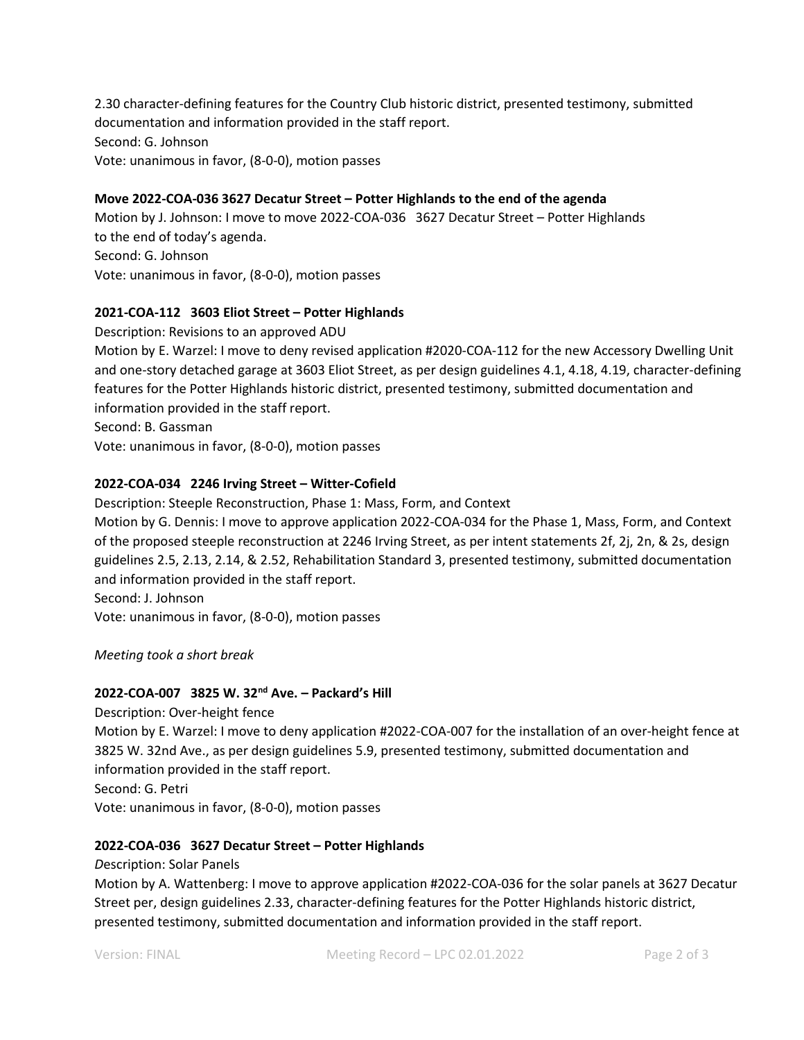2.30 character-defining features for the Country Club historic district, presented testimony, submitted documentation and information provided in the staff report. Second: G. Johnson Vote: unanimous in favor, (8-0-0), motion passes

## **Move 2022-COA-036 3627 Decatur Street – Potter Highlands to the end of the agenda**

Motion by J. Johnson: I move to move 2022-COA-036 3627 Decatur Street – Potter Highlands to the end of today's agenda. Second: G. Johnson Vote: unanimous in favor, (8-0-0), motion passes

# **2021-COA-112 3603 Eliot Street – Potter Highlands**

Description: Revisions to an approved ADU

Motion by E. Warzel: I move to deny revised application #2020-COA-112 for the new Accessory Dwelling Unit and one-story detached garage at 3603 Eliot Street, as per design guidelines 4.1, 4.18, 4.19, character-defining features for the Potter Highlands historic district, presented testimony, submitted documentation and information provided in the staff report.

Second: B. Gassman

Vote: unanimous in favor, (8-0-0), motion passes

# **2022-COA-034 2246 Irving Street – Witter-Cofield**

Description: Steeple Reconstruction, Phase 1: Mass, Form, and Context

Motion by G. Dennis: I move to approve application 2022-COA-034 for the Phase 1, Mass, Form, and Context of the proposed steeple reconstruction at 2246 Irving Street, as per intent statements 2f, 2j, 2n, & 2s, design guidelines 2.5, 2.13, 2.14, & 2.52, Rehabilitation Standard 3, presented testimony, submitted documentation and information provided in the staff report.

Second: J. Johnson Vote: unanimous in favor, (8-0-0), motion passes

*Meeting took a short break*

## **2022-COA-007 3825 W. 32nd Ave. – Packard's Hill**

Description: Over-height fence Motion by E. Warzel: I move to deny application #2022-COA-007 for the installation of an over-height fence at 3825 W. 32nd Ave., as per design guidelines 5.9, presented testimony, submitted documentation and information provided in the staff report. Second: G. Petri

Vote: unanimous in favor, (8-0-0), motion passes

## **2022-COA-036 3627 Decatur Street – Potter Highlands**

*D*escription: Solar Panels

Motion by A. Wattenberg: I move to approve application #2022-COA-036 for the solar panels at 3627 Decatur Street per, design guidelines 2.33, character-defining features for the Potter Highlands historic district, presented testimony, submitted documentation and information provided in the staff report.